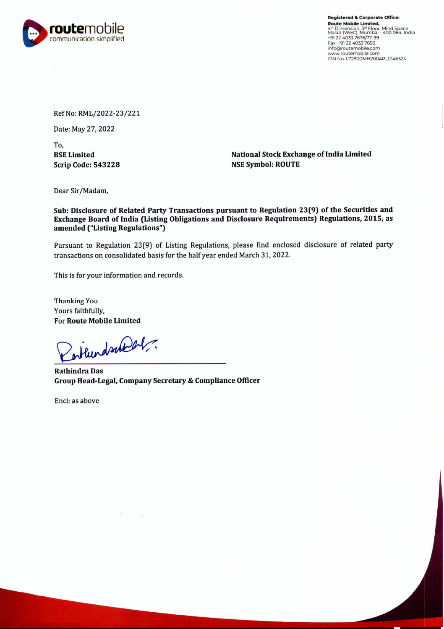

Registered & Corporate Office: Route Mobile Limited, 4": Dimension, 3" Floor, Mind Space<br>Malad (West), Mumbai - 400 064, India<br>•91 22 4033 7676/77-99 Fax: +91 22 4033 7650 infoOroutemobile.com www.routemobile.com CIN No: L72900MH2004PLC146323

Ref No: RML/2022-23/221

Date: May 27, 2022

To, BSE Limited Scrip Code: 543228

National Stock Exchange of India Limited NSE Symbol: ROUTE

Dear Sir/Madam,

Sub: Disclosure of Related Party Transactions pursuant to Regulation 23(9) of the Securities and Exchange Board of India (Listing Obligations and Disclosure Requirements) Regulations, 2015, as amended ("Listing Regulations")

Pursuant to Regulation 23(9) of Listing Regulations, please find enclosed disclosure of related party transactions on consolidated basis for the half year ended March 31, 2022.

This is for your information and records.

Thanking You Yours faithfully, For Route Mobile Limited

entlundschlicht.

Rathindra Das Group Head-Legal, Company Secretary & Compliance Officer

Encl: as above